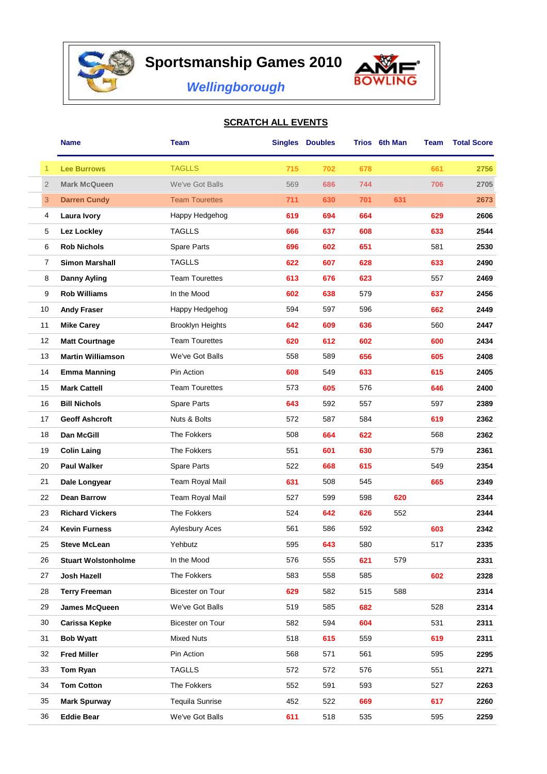

## **Sportsmanship Games 2010**



*Wellingborough*

## **SCRATCH ALL EVENTS**

|                | <b>Name</b>                | <b>Team</b>             |     | <b>Singles Doubles</b> |     | Trios 6th Man | Team | <b>Total Score</b> |
|----------------|----------------------------|-------------------------|-----|------------------------|-----|---------------|------|--------------------|
| 1              | <b>Lee Burrows</b>         | <b>TAGLLS</b>           | 715 | 702                    | 678 |               | 661  | 2756               |
| $\overline{2}$ | <b>Mark McQueen</b>        | We've Got Balls         | 569 | 686                    | 744 |               | 706  | 2705               |
| 3              | <b>Darren Cundy</b>        | <b>Team Tourettes</b>   | 711 | 630                    | 701 | 631           |      | 2673               |
| 4              | <b>Laura Ivory</b>         | Happy Hedgehog          | 619 | 694                    | 664 |               | 629  | 2606               |
| 5              | Lez Lockley                | <b>TAGLLS</b>           | 666 | 637                    | 608 |               | 633  | 2544               |
| 6              | <b>Rob Nichols</b>         | Spare Parts             | 696 | 602                    | 651 |               | 581  | 2530               |
| 7              | <b>Simon Marshall</b>      | <b>TAGLLS</b>           | 622 | 607                    | 628 |               | 633  | 2490               |
| 8              | <b>Danny Ayling</b>        | <b>Team Tourettes</b>   | 613 | 676                    | 623 |               | 557  | 2469               |
| 9              | <b>Rob Williams</b>        | In the Mood             | 602 | 638                    | 579 |               | 637  | 2456               |
| 10             | <b>Andy Fraser</b>         | Happy Hedgehog          | 594 | 597                    | 596 |               | 662  | 2449               |
| 11             | <b>Mike Carey</b>          | <b>Brooklyn Heights</b> | 642 | 609                    | 636 |               | 560  | 2447               |
| 12             | <b>Matt Courtnage</b>      | <b>Team Tourettes</b>   | 620 | 612                    | 602 |               | 600  | 2434               |
| 13             | <b>Martin Williamson</b>   | We've Got Balls         | 558 | 589                    | 656 |               | 605  | 2408               |
| 14             | <b>Emma Manning</b>        | Pin Action              | 608 | 549                    | 633 |               | 615  | 2405               |
| 15             | <b>Mark Cattell</b>        | <b>Team Tourettes</b>   | 573 | 605                    | 576 |               | 646  | 2400               |
| 16             | <b>Bill Nichols</b>        | Spare Parts             | 643 | 592                    | 557 |               | 597  | 2389               |
| 17             | <b>Geoff Ashcroft</b>      | Nuts & Bolts            | 572 | 587                    | 584 |               | 619  | 2362               |
| 18             | Dan McGill                 | The Fokkers             | 508 | 664                    | 622 |               | 568  | 2362               |
| 19             | <b>Colin Laing</b>         | The Fokkers             | 551 | 601                    | 630 |               | 579  | 2361               |
| 20             | <b>Paul Walker</b>         | Spare Parts             | 522 | 668                    | 615 |               | 549  | 2354               |
| 21             | Dale Longyear              | Team Royal Mail         | 631 | 508                    | 545 |               | 665  | 2349               |
| 22             | <b>Dean Barrow</b>         | Team Royal Mail         | 527 | 599                    | 598 | 620           |      | 2344               |
| 23             | <b>Richard Vickers</b>     | The Fokkers             | 524 | 642                    | 626 | 552           |      | 2344               |
| 24             | <b>Kevin Furness</b>       | Aylesbury Aces          | 561 | 586                    | 592 |               | 603  | 2342               |
| 25             | <b>Steve McLean</b>        | Yehbutz                 | 595 | 643                    | 580 |               | 517  | 2335               |
| 26             | <b>Stuart Wolstonholme</b> | In the Mood             | 576 | 555                    | 621 | 579           |      | 2331               |
| 27             | Josh Hazell                | The Fokkers             | 583 | 558                    | 585 |               | 602  | 2328               |
| 28             | <b>Terry Freeman</b>       | Bicester on Tour        | 629 | 582                    | 515 | 588           |      | 2314               |
| 29             | James McQueen              | We've Got Balls         | 519 | 585                    | 682 |               | 528  | 2314               |
| 30             | Carissa Kepke              | Bicester on Tour        | 582 | 594                    | 604 |               | 531  | 2311               |
| 31             | <b>Bob Wyatt</b>           | <b>Mixed Nuts</b>       | 518 | 615                    | 559 |               | 619  | 2311               |
| 32             | <b>Fred Miller</b>         | Pin Action              | 568 | 571                    | 561 |               | 595  | 2295               |
| 33             | Tom Ryan                   | <b>TAGLLS</b>           | 572 | 572                    | 576 |               | 551  | 2271               |
| 34             | <b>Tom Cotton</b>          | The Fokkers             | 552 | 591                    | 593 |               | 527  | 2263               |
| 35             | <b>Mark Spurway</b>        | <b>Tequila Sunrise</b>  | 452 | 522                    | 669 |               | 617  | 2260               |
| 36             | <b>Eddie Bear</b>          | We've Got Balls         | 611 | 518                    | 535 |               | 595  | 2259               |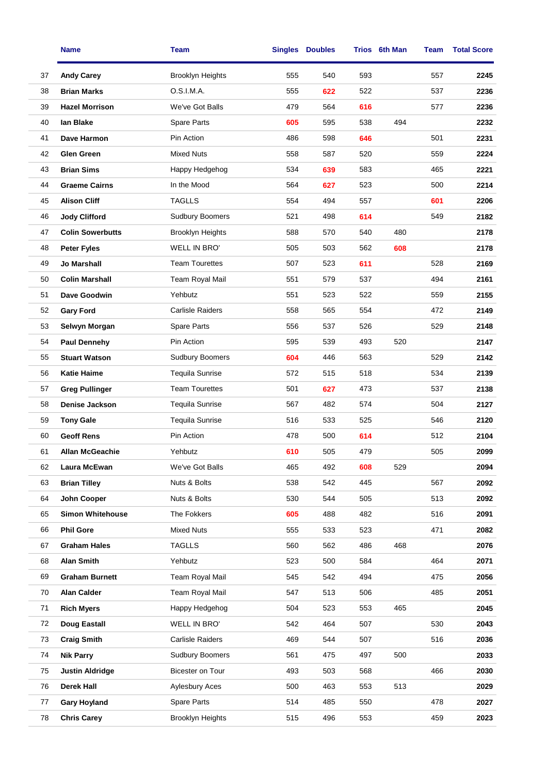|    | <b>Name</b>             | <b>Team</b>             |     | <b>Singles Doubles</b> |     | Trios 6th Man | Team | <b>Total Score</b> |
|----|-------------------------|-------------------------|-----|------------------------|-----|---------------|------|--------------------|
| 37 | <b>Andy Carey</b>       | <b>Brooklyn Heights</b> | 555 | 540                    | 593 |               | 557  | 2245               |
| 38 | <b>Brian Marks</b>      | O.S.I.M.A.              | 555 | 622                    | 522 |               | 537  | 2236               |
| 39 | <b>Hazel Morrison</b>   | We've Got Balls         | 479 | 564                    | 616 |               | 577  | 2236               |
| 40 | lan Blake               | Spare Parts             | 605 | 595                    | 538 | 494           |      | 2232               |
| 41 | Dave Harmon             | Pin Action              | 486 | 598                    | 646 |               | 501  | 2231               |
| 42 | <b>Glen Green</b>       | <b>Mixed Nuts</b>       | 558 | 587                    | 520 |               | 559  | 2224               |
| 43 | <b>Brian Sims</b>       | Happy Hedgehog          | 534 | 639                    | 583 |               | 465  | 2221               |
| 44 | <b>Graeme Cairns</b>    | In the Mood             | 564 | 627                    | 523 |               | 500  | 2214               |
| 45 | <b>Alison Cliff</b>     | <b>TAGLLS</b>           | 554 | 494                    | 557 |               | 601  | 2206               |
| 46 | <b>Jody Clifford</b>    | <b>Sudbury Boomers</b>  | 521 | 498                    | 614 |               | 549  | 2182               |
| 47 | <b>Colin Sowerbutts</b> | <b>Brooklyn Heights</b> | 588 | 570                    | 540 | 480           |      | 2178               |
| 48 | <b>Peter Fyles</b>      | WELL IN BRO'            | 505 | 503                    | 562 | 608           |      | 2178               |
| 49 | <b>Jo Marshall</b>      | <b>Team Tourettes</b>   | 507 | 523                    | 611 |               | 528  | 2169               |
| 50 | <b>Colin Marshall</b>   | Team Royal Mail         | 551 | 579                    | 537 |               | 494  | 2161               |
| 51 | Dave Goodwin            | Yehbutz                 | 551 | 523                    | 522 |               | 559  | 2155               |
| 52 | <b>Gary Ford</b>        | <b>Carlisle Raiders</b> | 558 | 565                    | 554 |               | 472  | 2149               |
| 53 | Selwyn Morgan           | Spare Parts             | 556 | 537                    | 526 |               | 529  | 2148               |
| 54 | <b>Paul Dennehy</b>     | Pin Action              | 595 | 539                    | 493 | 520           |      | 2147               |
| 55 | <b>Stuart Watson</b>    | <b>Sudbury Boomers</b>  | 604 | 446                    | 563 |               | 529  | 2142               |
| 56 | <b>Katie Haime</b>      | <b>Tequila Sunrise</b>  | 572 | 515                    | 518 |               | 534  | 2139               |
| 57 | <b>Greg Pullinger</b>   | <b>Team Tourettes</b>   | 501 | 627                    | 473 |               | 537  | 2138               |
| 58 | Denise Jackson          | <b>Tequila Sunrise</b>  | 567 | 482                    | 574 |               | 504  | 2127               |
| 59 | <b>Tony Gale</b>        | <b>Tequila Sunrise</b>  | 516 | 533                    | 525 |               | 546  | 2120               |
| 60 | <b>Geoff Rens</b>       | Pin Action              | 478 | 500                    | 614 |               | 512  | 2104               |
| 61 | <b>Allan McGeachie</b>  | Yehbutz                 | 610 | 505                    | 479 |               | 505  | 2099               |
| 62 | Laura McEwan            | We've Got Balls         | 465 | 492                    | 608 | 529           |      | 2094               |
| 63 | <b>Brian Tilley</b>     | Nuts & Bolts            | 538 | 542                    | 445 |               | 567  | 2092               |
| 64 | John Cooper             | Nuts & Bolts            | 530 | 544                    | 505 |               | 513  | 2092               |
| 65 | <b>Simon Whitehouse</b> | The Fokkers             | 605 | 488                    | 482 |               | 516  | 2091               |
| 66 | <b>Phil Gore</b>        | <b>Mixed Nuts</b>       | 555 | 533                    | 523 |               | 471  | 2082               |
| 67 | <b>Graham Hales</b>     | <b>TAGLLS</b>           | 560 | 562                    | 486 | 468           |      | 2076               |
| 68 | <b>Alan Smith</b>       | Yehbutz                 | 523 | 500                    | 584 |               | 464  | 2071               |
| 69 | <b>Graham Burnett</b>   | Team Royal Mail         | 545 | 542                    | 494 |               | 475  | 2056               |
| 70 | <b>Alan Calder</b>      | Team Royal Mail         | 547 | 513                    | 506 |               | 485  | 2051               |
| 71 | <b>Rich Myers</b>       | Happy Hedgehog          | 504 | 523                    | 553 | 465           |      | 2045               |
| 72 | Doug Eastall            | WELL IN BRO'            | 542 | 464                    | 507 |               | 530  | 2043               |
| 73 | <b>Craig Smith</b>      | <b>Carlisle Raiders</b> | 469 | 544                    | 507 |               | 516  | 2036               |
| 74 | <b>Nik Parry</b>        | <b>Sudbury Boomers</b>  | 561 | 475                    | 497 | 500           |      | 2033               |
| 75 | <b>Justin Aldridge</b>  | Bicester on Tour        | 493 | 503                    | 568 |               | 466  | 2030               |
| 76 | Derek Hall              | <b>Aylesbury Aces</b>   | 500 | 463                    | 553 | 513           |      | 2029               |
| 77 | <b>Gary Hoyland</b>     | Spare Parts             | 514 | 485                    | 550 |               | 478  | 2027               |
| 78 | <b>Chris Carey</b>      | <b>Brooklyn Heights</b> | 515 | 496                    | 553 |               | 459  | 2023               |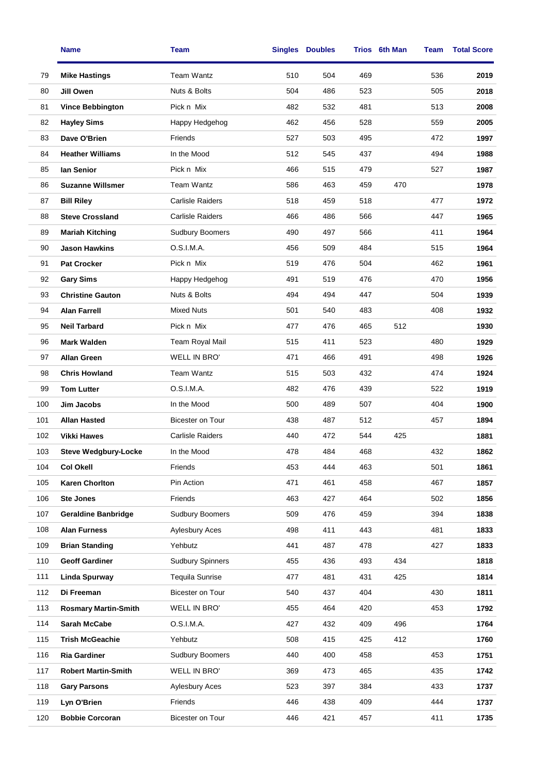|     | <b>Name</b>                 | Team                    |     | <b>Singles Doubles</b> |     | Trios 6th Man | Team | <b>Total Score</b> |
|-----|-----------------------------|-------------------------|-----|------------------------|-----|---------------|------|--------------------|
| 79  | <b>Mike Hastings</b>        | Team Wantz              | 510 | 504                    | 469 |               | 536  | 2019               |
| 80  | Jill Owen                   | Nuts & Bolts            | 504 | 486                    | 523 |               | 505  | 2018               |
| 81  | <b>Vince Bebbington</b>     | Pick n Mix              | 482 | 532                    | 481 |               | 513  | 2008               |
| 82  | <b>Hayley Sims</b>          | Happy Hedgehog          | 462 | 456                    | 528 |               | 559  | 2005               |
| 83  | Dave O'Brien                | Friends                 | 527 | 503                    | 495 |               | 472  | 1997               |
| 84  | <b>Heather Williams</b>     | In the Mood             | 512 | 545                    | 437 |               | 494  | 1988               |
| 85  | lan Senior                  | Pick n Mix              | 466 | 515                    | 479 |               | 527  | 1987               |
| 86  | <b>Suzanne Willsmer</b>     | Team Wantz              | 586 | 463                    | 459 | 470           |      | 1978               |
| 87  | <b>Bill Riley</b>           | <b>Carlisle Raiders</b> | 518 | 459                    | 518 |               | 477  | 1972               |
| 88  | <b>Steve Crossland</b>      | Carlisle Raiders        | 466 | 486                    | 566 |               | 447  | 1965               |
| 89  | <b>Mariah Kitching</b>      | Sudbury Boomers         | 490 | 497                    | 566 |               | 411  | 1964               |
| 90  | <b>Jason Hawkins</b>        | O.S.I.M.A.              | 456 | 509                    | 484 |               | 515  | 1964               |
| 91  | <b>Pat Crocker</b>          | Pick n Mix              | 519 | 476                    | 504 |               | 462  | 1961               |
| 92  | <b>Gary Sims</b>            | Happy Hedgehog          | 491 | 519                    | 476 |               | 470  | 1956               |
| 93  | <b>Christine Gauton</b>     | Nuts & Bolts            | 494 | 494                    | 447 |               | 504  | 1939               |
| 94  | <b>Alan Farrell</b>         | <b>Mixed Nuts</b>       | 501 | 540                    | 483 |               | 408  | 1932               |
| 95  | <b>Neil Tarbard</b>         | Pick n Mix              | 477 | 476                    | 465 | 512           |      | 1930               |
| 96  | <b>Mark Walden</b>          | <b>Team Royal Mail</b>  | 515 | 411                    | 523 |               | 480  | 1929               |
| 97  | <b>Allan Green</b>          | WELL IN BRO'            | 471 | 466                    | 491 |               | 498  | 1926               |
| 98  | <b>Chris Howland</b>        | Team Wantz              | 515 | 503                    | 432 |               | 474  | 1924               |
| 99  | <b>Tom Lutter</b>           | O.S.I.M.A.              | 482 | 476                    | 439 |               | 522  | 1919               |
| 100 | Jim Jacobs                  | In the Mood             | 500 | 489                    | 507 |               | 404  | 1900               |
| 101 | <b>Allan Hasted</b>         | <b>Bicester on Tour</b> | 438 | 487                    | 512 |               | 457  | 1894               |
| 102 | <b>Vikki Hawes</b>          | <b>Carlisle Raiders</b> | 440 | 472                    | 544 | 425           |      | 1881               |
| 103 | <b>Steve Wedgbury-Locke</b> | In the Mood             | 478 | 484                    | 468 |               | 432  | 1862               |
| 104 | <b>Col Okell</b>            | Friends                 | 453 | 444                    | 463 |               | 501  | 1861               |
| 105 | <b>Karen Chorlton</b>       | Pin Action              | 471 | 461                    | 458 |               | 467  | 1857               |
| 106 | <b>Ste Jones</b>            | Friends                 | 463 | 427                    | 464 |               | 502  | 1856               |
| 107 | <b>Geraldine Banbridge</b>  | <b>Sudbury Boomers</b>  | 509 | 476                    | 459 |               | 394  | 1838               |
| 108 | <b>Alan Furness</b>         | <b>Aylesbury Aces</b>   | 498 | 411                    | 443 |               | 481  | 1833               |
| 109 | <b>Brian Standing</b>       | Yehbutz                 | 441 | 487                    | 478 |               | 427  | 1833               |
| 110 | <b>Geoff Gardiner</b>       | <b>Sudbury Spinners</b> | 455 | 436                    | 493 | 434           |      | 1818               |
| 111 | <b>Linda Spurway</b>        | <b>Tequila Sunrise</b>  | 477 | 481                    | 431 | 425           |      | 1814               |
| 112 | Di Freeman                  | Bicester on Tour        | 540 | 437                    | 404 |               | 430  | 1811               |
| 113 | <b>Rosmary Martin-Smith</b> | WELL IN BRO'            | 455 | 464                    | 420 |               | 453  | 1792               |
| 114 | Sarah McCabe                | O.S.I.M.A.              | 427 | 432                    | 409 | 496           |      | 1764               |
| 115 | <b>Trish McGeachie</b>      | Yehbutz                 | 508 | 415                    | 425 | 412           |      | 1760               |
| 116 | <b>Ria Gardiner</b>         | <b>Sudbury Boomers</b>  | 440 | 400                    | 458 |               | 453  | 1751               |
| 117 | <b>Robert Martin-Smith</b>  | WELL IN BRO'            | 369 | 473                    | 465 |               | 435  | 1742               |
| 118 | <b>Gary Parsons</b>         | <b>Aylesbury Aces</b>   | 523 | 397                    | 384 |               | 433  | 1737               |
| 119 | Lyn O'Brien                 | Friends                 | 446 | 438                    | 409 |               | 444  | 1737               |
| 120 | <b>Bobbie Corcoran</b>      | Bicester on Tour        | 446 | 421                    | 457 |               | 411  | 1735               |